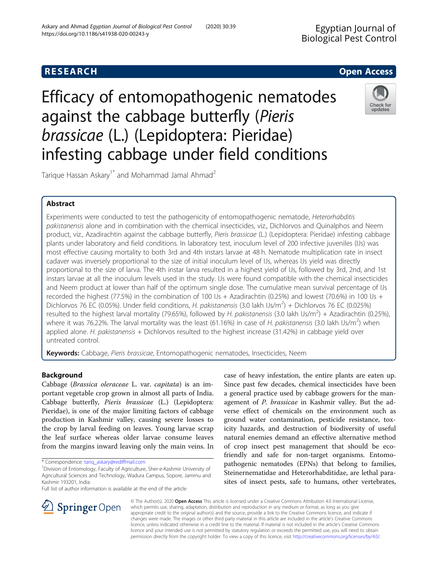# Efficacy of entomopathogenic nematodes against the cabbage butterfly (Pieris brassicae (L.) (Lepidoptera: Pieridae) infesting cabbage under field conditions

Tarique Hassan Askary<sup>1\*</sup> and Mohammad Jamal Ahmad<sup>2</sup>

# Abstract

Experiments were conducted to test the pathogenicity of entomopathogenic nematode, Heterorhabditis pakistanensis alone and in combination with the chemical insecticides, viz., Dichlorvos and Quinalphos and Neem product, viz., Azadirachtin against the cabbage butterfly, Pieris brassicae (L.) (Lepidoptera: Pieridae) infesting cabbage plants under laboratory and field conditions. In laboratory test, inoculum level of 200 infective juveniles (IJs) was most effective causing mortality to both 3rd and 4th instars larvae at 48 h. Nematode multiplication rate in insect cadaver was inversely proportional to the size of initial inoculum level of IJs, whereas IJs yield was directly proportional to the size of larva. The 4th instar larva resulted in a highest yield of IJs, followed by 3rd, 2nd, and 1st instars larvae at all the inoculum levels used in the study. IJs were found compatible with the chemical insecticides and Neem product at lower than half of the optimum single dose. The cumulative mean survival percentage of IJs recorded the highest (77.5%) in the combination of 100 IJs + Azadirachtin (0.25%) and lowest (70.6%) in 100 IJs + Dichlorvos 76 EC (0.05%). Under field conditions, H. pakistanensis (3.0 lakh IJs/m<sup>2</sup>) + Dichlorvos 76 EC (0.025%) resulted to the highest larval mortality (79.65%), followed by H. pakistanensis (3.0 lakh IJs/m<sup>2</sup>) + Azadirachtin (0.25%), where it was 76.22%. The larval mortality was the least (61.16%) in case of H. pakistanensis (3.0 lakh IJs/m<sup>2</sup>) when applied alone. H. pakistanensis + Dichlorvos resulted to the highest increase (31.42%) in cabbage yield over untreated control.

Keywords: Cabbage, Pieris brassicae, Entomopathogenic nematodes, Insecticides, Neem

# Background

Cabbage (Brassica oleraceae L. var. capitata) is an important vegetable crop grown in almost all parts of India. Cabbage butterfly, Pieris brassicae (L.) (Lepidoptera: Pieridae), is one of the major limiting factors of cabbage production in Kashmir valley, causing severe losses to the crop by larval feeding on leaves. Young larvae scrap the leaf surface whereas older larvae consume leaves from the margins inward leaving only the main veins. In

\* Correspondence: [tariq\\_askary@rediffmail.com](mailto:tariq_askary@rediffmail.com) <sup>1</sup>

Full list of author information is available at the end of the article

a general practice used by cabbage growers for the management of P. brassicae in Kashmir valley. But the adverse effect of chemicals on the environment such as ground water contamination, pesticide resistance, toxicity hazards, and destruction of biodiversity of useful natural enemies demand an effective alternative method of crop insect pest management that should be ecofriendly and safe for non-target organisms. Entomopathogenic nematodes (EPNs) that belong to families, Steinernematidae and Heterorhabditidae, are lethal parasites of insect pests, safe to humans, other vertebrates,

case of heavy infestation, the entire plants are eaten up. Since past few decades, chemical insecticides have been

© The Author(s). 2020 Open Access This article is licensed under a Creative Commons Attribution 4.0 International License, which permits use, sharing, adaptation, distribution and reproduction in any medium or format, as long as you give appropriate credit to the original author(s) and the source, provide a link to the Creative Commons licence, and indicate if changes were made. The images or other third party material in this article are included in the article's Creative Commons licence, unless indicated otherwise in a credit line to the material. If material is not included in the article's Creative Commons licence and your intended use is not permitted by statutory regulation or exceeds the permitted use, you will need to obtain permission directly from the copyright holder. To view a copy of this licence, visit <http://creativecommons.org/licenses/by/4.0/>.







**RESEARCH CHE Open Access** 

Division of Entomology, Faculty of Agriculture, Sher-e-Kashmir University of Agricultural Sciences and Technology, Wadura Campus, Sopore, Jammu and Kashmir 193201, India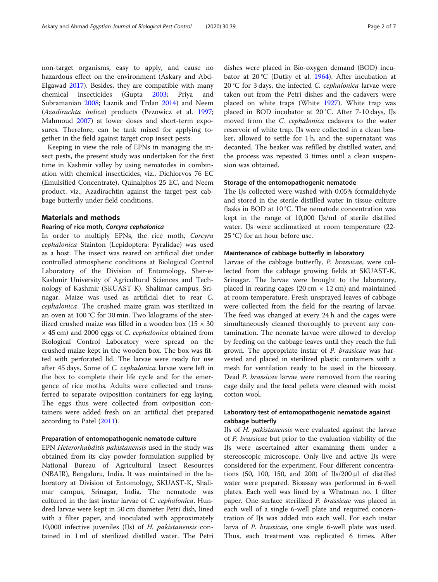non-target organisms, easy to apply, and cause no hazardous effect on the environment (Askary and Abd-Elgawad [2017\)](#page-6-0). Besides, they are compatible with many chemical insecticides (Gupta [2003;](#page-6-0) Priya and Subramanian [2008](#page-6-0); Laznik and Trdan [2014\)](#page-6-0) and Neem (Azadirachta indica) products (Pezowicz et al. [1997](#page-6-0); Mahmoud [2007\)](#page-6-0) at lower doses and short-term exposures. Therefore, can be tank mixed for applying together in the field against target crop insect pests.

Keeping in view the role of EPNs in managing the insect pests, the present study was undertaken for the first time in Kashmir valley by using nematodes in combination with chemical insecticides, viz., Dichlorvos 76 EC (Emulsified Concentrate), Quinalphos 25 EC, and Neem product, viz., Azadirachtin against the target pest cabbage butterfly under field conditions.

# Materials and methods

# Rearing of rice moth, Corcyra cephalonica

In order to multiply EPNs, the rice moth, Corcyra cephalonica Stainton (Lepidoptera: Pyralidae) was used as a host. The insect was reared on artificial diet under controlled atmospheric conditions at Biological Control Laboratory of the Division of Entomology, Sher-e-Kashmir University of Agricultural Sciences and Technology of Kashmir (SKUAST-K), Shalimar campus, Srinagar. Maize was used as artificial diet to rear C. cephalonica. The crushed maize grain was sterilized in an oven at 100 °C for 30 min. Two kilograms of the sterilized crushed maize was filled in a wooden box  $(15 \times 30)$ × 45 cm) and 2000 eggs of C. cephalonica obtained from Biological Control Laboratory were spread on the crushed maize kept in the wooden box. The box was fitted with perforated lid. The larvae were ready for use after 45 days. Some of C. cephalonica larvae were left in the box to complete their life cycle and for the emergence of rice moths. Adults were collected and transferred to separate oviposition containers for egg laying. The eggs thus were collected from oviposition containers were added fresh on an artificial diet prepared according to Patel ([2011\)](#page-6-0).

## Preparation of entomopathogenic nematode culture

EPN Heterorhabditis pakistanensis used in the study was obtained from its clay powder formulation supplied by National Bureau of Agricultural Insect Resources (NBAIR), Bengaluru, India. It was maintained in the laboratory at Division of Entomology, SKUAST-K, Shalimar campus, Srinagar, India. The nematode was cultured in the last instar larvae of C. cephalonica. Hundred larvae were kept in 50 cm diameter Petri dish, lined with a filter paper, and inoculated with approximately 10,000 infective juveniles (IJs) of H. pakistanensis contained in 1 ml of sterilized distilled water. The Petri dishes were placed in Bio-oxygen demand (BOD) incubator at 20 °C (Dutky et al. [1964](#page-6-0)). After incubation at 20 °C for 3 days, the infected *C. cephalonica* larvae were taken out from the Petri dishes and the cadavers were placed on white traps (White [1927\)](#page-6-0). White trap was placed in BOD incubator at 20 °C. After 7-10 days, IJs moved from the C. cephalonica cadavers to the water reservoir of white trap. IJs were collected in a clean beaker, allowed to settle for 1 h, and the supernatant was decanted. The beaker was refilled by distilled water, and the process was repeated 3 times until a clean suspension was obtained.

# Storage of the entomopathogenic nematode

The IJs collected were washed with 0.05% formaldehyde and stored in the sterile distilled water in tissue culture flasks in BOD at 10 °C. The nematode concentration was kept in the range of 10,000 IJs/ml of sterile distilled water. IJs were acclimatized at room temperature (22- 25 °C) for an hour before use.

# Maintenance of cabbage butterfly in laboratory

Larvae of the cabbage butterfly, P. brassicae, were collected from the cabbage growing fields at SKUAST-K, Srinagar. The larvae were brought to the laboratory, placed in rearing cages (20 cm  $\times$  12 cm) and maintained at room temperature. Fresh unsprayed leaves of cabbage were collected from the field for the rearing of larvae. The feed was changed at every 24 h and the cages were simultaneously cleaned thoroughly to prevent any contamination. The neonate larvae were allowed to develop by feeding on the cabbage leaves until they reach the full grown. The appropriate instar of P. brassicae was harvested and placed in sterilized plastic containers with a mesh for ventilation ready to be used in the bioassay. Dead P. brassicae larvae were removed from the rearing cage daily and the fecal pellets were cleaned with moist cotton wool.

# Laboratory test of entomopathogenic nematode against cabbage butterfly

IJs of H. pakistanensis were evaluated against the larvae of P. brassicae but prior to the evaluation viability of the IJs were ascertained after examining them under a stereoscopic microscope. Only live and active IJs were considered for the experiment. Four different concentrations (50, 100, 150, and 200) of IJs/200 μl of distilled water were prepared. Bioassay was performed in 6-well plates. Each well was lined by a Whatman no. 1 filter paper. One surface sterilized P. brassicae was placed in each well of a single 6-well plate and required concentration of IJs was added into each well. For each instar larva of P. brassicae, one single 6-well plate was used. Thus, each treatment was replicated 6 times. After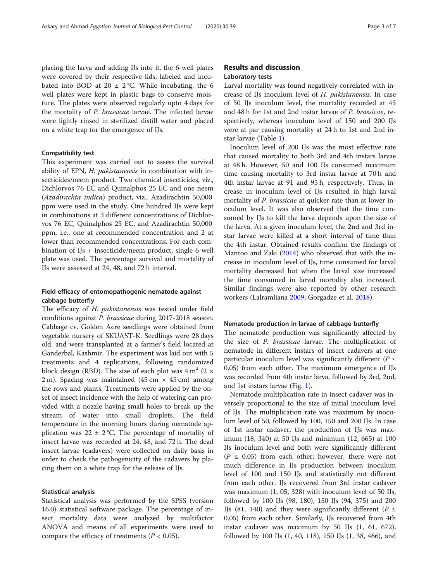placing the larva and adding IJs into it, the 6-well plates were covered by their respective lids, labeled and incubated into BOD at 20  $\pm$  2 °C. While incubating, the 6 well plates were kept in plastic bags to conserve moisture. The plates were observed regularly upto 4 days for the mortality of P. brassicae larvae. The infected larvae were lightly rinsed in sterilized distill water and placed on a white trap for the emergence of IJs.

# Compatibility test

This experiment was carried out to assess the survival ability of EPN, H. pakistanensis in combination with insecticides/neem product. Two chemical insecticides, viz., Dichlorvos 76 EC and Quinalphos 25 EC and one neem (Azadirachta indica) product, viz., Azadirachtin 50,000 ppm were used in the study. One hundred IJs were kept in combinations at 3 different concentrations of Dichlorvos 76 EC, Quinalphos 25 EC, and Azadirachtin 50,000 ppm, i.e., one at recommended concentration and 2 at lower than recommended concentrations. For each combination of IJs + insecticide/neem product, single 6-well plate was used. The percentage survival and mortality of IJs were assessed at 24, 48, and 72 h interval.

# Field efficacy of entomopathogenic nematode against cabbage butterfly

The efficacy of H. pakistanensis was tested under field conditions against P. brassicae during 2017-2018 season. Cabbage cv. Golden Acre seedlings were obtained from vegetable nursery of SKUAST-K. Seedlings were 28 days old, and were transplanted at a farmer's field located at Ganderbal, Kashmir. The experiment was laid out with 5 treatments and 4 replications, following randomized block design (RBD). The size of each plot was  $4 \text{ m}^2$  (2  $\times$ 2 m). Spacing was maintained  $(45 \text{ cm} \times 45 \text{ cm})$  among the rows and plants. Treatments were applied by the onset of insect incidence with the help of watering can provided with a nozzle having small holes to break up the stream of water into small droplets. The field temperature in the morning hours during nematode application was  $22 \pm 2$  °C. The percentage of mortality of insect larvae was recorded at 24, 48, and 72 h. The dead insect larvae (cadavers) were collected on daily basis in order to check the pathogenicity of the cadavers by placing them on a white trap for the release of IJs.

# Statistical analysis

Statistical analysis was performed by the SPSS (version 16.0) statistical software package. The percentage of insect mortality data were analyzed by multifactor ANOVA and means of all experiments were used to compare the efficacy of treatments ( $P < 0.05$ ).

# Results and discussion Laboratory tests

Larval mortality was found negatively correlated with increase of IJs inoculum level of H. pakistanensis. In case of 50 IJs inoculum level, the mortality recorded at 45 and 48 h for 1st and 2nd instar larvae of P. brassicae, respectively, whereas inoculum level of 150 and 200 IJs were at par causing mortality at 24 h to 1st and 2nd instar larvae (Table [1\)](#page-3-0).

Inoculum level of 200 IJs was the most effective rate that caused mortality to both 3rd and 4th instars larvae at 48 h. However, 50 and 100 IJs consumed maximum time causing mortality to 3rd instar larvae at 70 h and 4th instar larvae at 91 and 95 h, respectively. Thus, increase in inoculum level of IJs resulted in high larval mortality of P. brassicae at quicker rate than at lower inoculum level. It was also observed that the time consumed by IJs to kill the larva depends upon the size of the larva. At a given inoculum level, the 2nd and 3rd instar larvae were killed at a short interval of time than the 4th instar. Obtained results confirm the findings of Mantoo and Zaki [\(2014](#page-6-0)) who observed that with the increase in inoculum level of IJs, time consumed for larval mortality decreased but when the larval size increased the time consumed in larval mortality also increased. Similar findings were also reported by other research workers (Lalramliana [2009;](#page-6-0) Gorgadze et al. [2018](#page-6-0)).

### Nematode production in larvae of cabbage butterfly

The nematode production was significantly affected by the size of P. brassicae larvae. The multiplication of nematode in different instars of insect cadavers at one particular inoculum level was significantly different ( $P \leq$ 0.05) from each other. The maximum emergence of IJs was recorded from 4th instar larva, followed by 3rd, 2nd, and 1st instars larvae (Fig. [1\)](#page-3-0).

Nematode multiplication rate in insect cadaver was inversely proportional to the size of initial inoculum level of IJs. The multiplication rate was maximum by inoculum level of 50, followed by 100, 150 and 200 IJs. In case of 1st instar cadaver, the production of IJs was maximum (18, 340) at 50 IJs and minimum (12, 665) at 100 IJs inoculum level and both were significantly different  $(P \leq 0.05)$  from each other; however, there were not much difference in IJs production between inoculum level of 100 and 150 IJs and statistically not different from each other. IJs recovered from 3rd instar cadaver was maximum (1, 05, 328) with inoculum level of 50 IJs, followed by 100 IJs (98, 180), 150 IJs (94, 375) and 200 IJs (81, 140) and they were significantly different ( $P \leq$ 0.05) from each other. Similarly, IJs recovered from 4th instar cadaver was maximum by 50 IJs (1, 61, 672), followed by 100 IJs (1, 40, 118), 150 IJs (1, 38, 466), and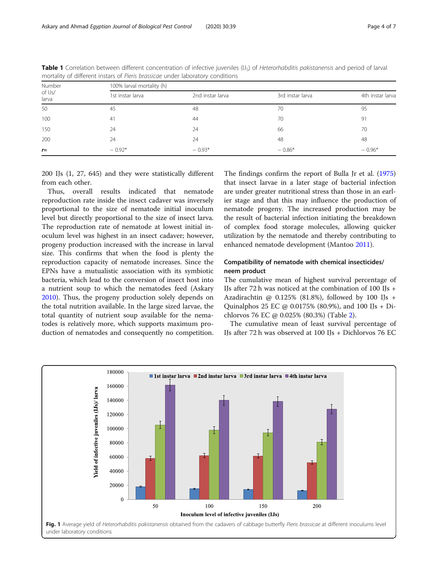| Number<br>of IJs/<br>larva | 100% larval mortality (h) |                  |                  |                  |  |
|----------------------------|---------------------------|------------------|------------------|------------------|--|
|                            | 1st instar larva          | 2nd instar larva | 3rd instar larva | 4th instar larva |  |
| 50                         | 45                        | 48               | 70               | 95               |  |
| 100                        | 41                        | 44               | 70               | 91               |  |
| 150                        | 24                        | 24               | 66               | 70               |  |
| 200                        | 24                        | 24               | 48               | 48               |  |
| $r =$                      | $-0.92*$                  | $-0.93*$         | $-0.86*$         | $-0.96*$         |  |

<span id="page-3-0"></span>Table 1 Correlation between different concentration of infective juveniles (IJ<sub>s</sub>) of Heterorhabditis pakistanensis and period of larval mortality of different instars of Pieris brassicae under laboratory conditions

200 IJs (1, 27, 645) and they were statistically different from each other.

Thus, overall results indicated that nematode reproduction rate inside the insect cadaver was inversely proportional to the size of nematode initial inoculum level but directly proportional to the size of insect larva. The reproduction rate of nematode at lowest initial inoculum level was highest in an insect cadaver; however, progeny production increased with the increase in larval size. This confirms that when the food is plenty the reproduction capacity of nematode increases. Since the EPNs have a mutualistic association with its symbiotic bacteria, which lead to the conversion of insect host into a nutrient soup to which the nematodes feed (Askary [2010](#page-6-0)). Thus, the progeny production solely depends on the total nutrition available. In the large sized larvae, the total quantity of nutrient soup available for the nematodes is relatively more, which supports maximum production of nematodes and consequently no competition.

The findings confirm the report of Bulla Jr et al. ([1975](#page-6-0)) that insect larvae in a later stage of bacterial infection are under greater nutritional stress than those in an earlier stage and that this may influence the production of nematode progeny. The increased production may be the result of bacterial infection initiating the breakdown of complex food storage molecules, allowing quicker utilization by the nematode and thereby contributing to enhanced nematode development (Mantoo [2011](#page-6-0)).

# Compatibility of nematode with chemical insecticides/ neem product

The cumulative mean of highest survival percentage of IJs after 72 h was noticed at the combination of 100 IJs + Azadirachtin @ 0.125% (81.8%), followed by 100 IJs + Quinalphos 25 EC @ 0.0175% (80.9%), and 100 IJs + Dichlorvos 76 EC @ 0.025% (80.3%) (Table [2\)](#page-4-0).

The cumulative mean of least survival percentage of IJs after 72 h was observed at 100 IJs + Dichlorvos 76 EC

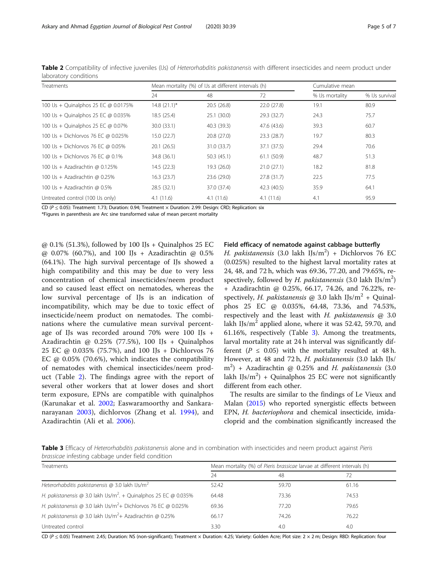| Treatments                           | Mean mortality (%) of IJs at different intervals (h) |             |             | Cumulative mean |                |  |
|--------------------------------------|------------------------------------------------------|-------------|-------------|-----------------|----------------|--|
|                                      | 24                                                   | 48          | 72          | % IJs mortality | % IJs survival |  |
| 100 IJs + Quinalphos 25 EC @ 0.0175% | $14.8(21.1)^{*}$                                     | 20.5(26.8)  | 22.0 (27.8) | 19.1            | 80.9           |  |
| 100 IJs + Quinalphos 25 EC @ 0.035%  | 18.5 (25.4)                                          | 25.1(30.0)  | 29.3 (32.7) | 24.3            | 75.7           |  |
| 100 IJs + Quinalphos 25 EC @ 0.07%   | 30.0 (33.1)                                          | 40.3 (39.3) | 47.6 (43.6) | 39.3            | 60.7           |  |
| 100 Us + Dichlorvos 76 EC @ 0.025%   | 15.0(22.7)                                           | 20.8 (27.0) | 23.3(28.7)  | 19.7            | 80.3           |  |
| 100 Us + Dichlorvos 76 EC @ 0.05%    | 20.1(26.5)                                           | 31.0 (33.7) | 37.1 (37.5) | 29.4            | 70.6           |  |
| 100 Us + Dichlorvos 76 EC @ 0.1%     | 34.8 (36.1)                                          | 50.3(45.1)  | 61.1 (50.9) | 48.7            | 51.3           |  |
| 100 IJs + Azadirachtin @ 0.125%      | 14.5(22.3)                                           | 19.3 (26.0) | 21.0(27.1)  | 18.2            | 81.8           |  |
| 100 Us + Azadirachtin @ 0.25%        | 16.3(23.7)                                           | 23.6 (29.0) | 27.8 (31.7) | 22.5            | 77.5           |  |
| 100 IJs + Azadirachtin @ 0.5%        | 28.5 (32.1)                                          | 37.0 (37.4) | 42.3 (40.5) | 35.9            | 64.1           |  |
| Untreated control (100 IJs only)     | 4.1(11.6)                                            | 4.1(11.6)   | 4.1(11.6)   | 4.1             | 95.9           |  |

<span id="page-4-0"></span>Table 2 Compatibility of infective juveniles (IJs) of Heterorhabditis pakistanensis with different insecticides and neem product under laboratory conditions

CD (P <sup>≤</sup> 0.05): Treatment: 1.73; Duration: 0.94; Treatment × Duration: 2.99: Design: CRD; Replication: six

\*Figures in parenthesis are Arc sine transformed value of mean percent mortality

 $@$  0.1% (51.3%), followed by 100 IJs + Quinalphos 25 EC @ 0.07% (60.7%), and 100 IJs + Azadirachtin @ 0.5% (64.1%). The high survival percentage of IJs showed a high compatibility and this may be due to very less concentration of chemical insecticides/neem product and so caused least effect on nematodes, whereas the low survival percentage of IJs is an indication of incompatibility, which may be due to toxic effect of insecticide/neem product on nematodes. The combinations where the cumulative mean survival percentage of IJs was recorded around 70% were 100 IJs + Azadirachtin @ 0.25% (77.5%), 100 IJs + Quinalphos 25 EC @ 0.035% (75.7%), and 100 IJs + Dichlorvos 76 EC  $@$  0.05% (70.6%), which indicates the compatibility of nematodes with chemical insecticides/neem product (Table 2). The findings agree with the report of several other workers that at lower doses and short term exposure, EPNs are compatible with quinalphos (Karunakar et al. [2002;](#page-6-0) Easwaramoorthy and Sankaranarayanan [2003](#page-6-0)), dichlorvos (Zhang et al. [1994\)](#page-6-0), and Azadirachtin (Ali et al. [2006\)](#page-6-0).

# Field efficacy of nematode against cabbage butterfly

H. pakistanensis (3.0 lakh IJs/m<sup>2</sup>) + Dichlorvos 76 EC (0.025%) resulted to the highest larval mortality rates at 24, 48, and 72 h, which was 69.36, 77.20, and 79.65%, respectively, followed by H. pakistanensis (3.0 lakh IJs/m<sup>2</sup>) + Azadirachtin @ 0.25%, 66.17, 74.26, and 76.22%, respectively, *H. pakistanensis* @ 3.0 lakh IJs/ $m^2$  + Quinalphos 25 EC @ 0.035%, 64.48, 73.36, and 74.53%, respectively and the least with  $H$ . pakistanensis  $@3.0$ lakh IJs/ $m^2$  applied alone, where it was 52.42, 59.70, and 61.16%, respectively (Table 3). Among the treatments, larval mortality rate at 24 h interval was significantly different ( $P \leq 0.05$ ) with the mortality resulted at 48 h. However, at 48 and 72 h, H. pakistanensis (3.0 lakh IJs/  $m<sup>2</sup>$ ) + Azadirachtin @ 0.25% and H. pakistanensis (3.0 lakh IJs/ $m^2$ ) + Quinalphos 25 EC were not significantly different from each other.

The results are similar to the findings of Le Vieux and Malan [\(2015\)](#page-6-0) who reported synergistic effects between EPN, H. bacteriophora and chemical insecticide, imidacloprid and the combination significantly increased the

Table 3 Efficacy of Heterorhabditis pakistanensis alone and in combination with insecticides and neem product against Pieris brassicae infesting cabbage under field condition

| Treatments                                                                   | Mean mortality (%) of Pieris brassicae larvae at different intervals (h) |       |       |  |
|------------------------------------------------------------------------------|--------------------------------------------------------------------------|-------|-------|--|
|                                                                              | 24                                                                       | -48   |       |  |
| Heterorhabditis pakistanensis @ 3.0 lakh $Us/m^2$                            | 52.42                                                                    | 59.70 | 61.16 |  |
| H. pakistanensis @ 3.0 lakh IJs/m <sup>2</sup> . + Quinalphos 25 EC @ 0.035% | 64.48                                                                    | 73.36 | 74.53 |  |
| H. pakistanensis @ 3.0 lakh IJs/m <sup>2</sup> + Dichlorvos 76 EC @ 0.025%   | 69.36                                                                    | 77.20 | 79.65 |  |
| H. pakistanensis @ 3.0 lakh IJs/m <sup>2</sup> + Azadirachtin @ 0.25%        | 66.17                                                                    | 74.26 | 76.22 |  |
| Untreated control                                                            | 3.30                                                                     | 4.0   | 4.0   |  |

CD (P ≤ 0.05) Treatment: 2.45; Duration: NS (non-significant); Treatment × Duration: 4.25; Variety: Golden Acre; Plot size: 2 × 2 m; Design: RBD: Replication: four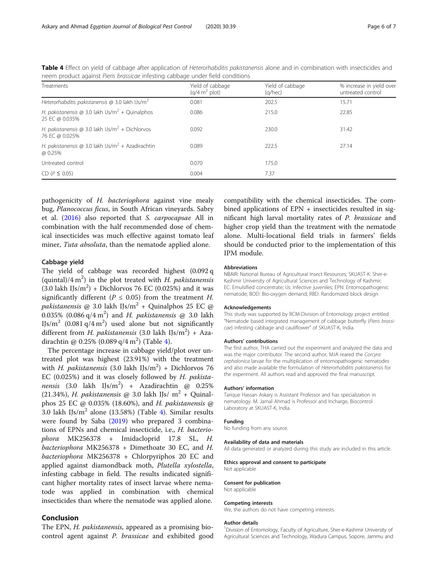| Treatments                                                                    | Yield of cabbage<br>(q/4 m <sup>2</sup> plot) | Yield of cabbage<br>$(a/$ hec $)$ | % increase in yield over<br>untreated control |
|-------------------------------------------------------------------------------|-----------------------------------------------|-----------------------------------|-----------------------------------------------|
| Heterorhabditis pakistanensis @ 3.0 lakh IJs/m <sup>2</sup>                   | 0.081                                         | 202.5                             | 15.71                                         |
| H. pakistanensis @ 3.0 lakh IJs/m <sup>2</sup> + Quinalphos<br>25 EC @ 0.035% | 0.086                                         | 215.0                             | 22.85                                         |
| H. pakistanensis @ 3.0 lakh $Us/m^2$ + Dichlorvos<br>76 EC @ 0.025%           | 0.092                                         | 230.0                             | 31.42                                         |
| H. pakistanensis @ 3.0 lakh IJs/m <sup>2</sup> + Azadirachtin<br>@ 0.25%      | 0.089                                         | 222.5                             | 27.14                                         |
| Untreated control                                                             | 0.070                                         | 175.0                             |                                               |
| $CD (P \leq 0.05)$                                                            | 0.004                                         | 7.37                              |                                               |

Table 4 Effect on yield of cabbage after application of Heterorhabditis pakistanensis alone and in combination with insecticides and neem product against Pieris brassicae infesting cabbage under field conditions

pathogenicity of H. bacteriophora against vine mealy bug, Planococcus ficus, in South African vineyards. Sabry et al. [\(2016\)](#page-6-0) also reported that S. carpocapsae All in combination with the half recommended dose of chemical insecticides was much effective against tomato leaf miner, Tuta absoluta, than the nematode applied alone.

# Cabbage yield

The yield of cabbage was recorded highest (0.092 q (quintal)/4 m<sup>2</sup>) in the plot treated with H. pakistanensis  $(3.0$  lakh IJs/m<sup>2</sup>) + Dichlorvos 76 EC (0.025%) and it was significantly different ( $P \le 0.05$ ) from the treatment H. *pakistanensis* @ 3.0 lakh IJs/ $m^2$  + Quinalphos 25 EC @ 0.035% (0.086 q/4 m<sup>2</sup>) and H. pakistanensis @ 3.0 lakh IJs/m<sup>2</sup> (0.081 q/4 m<sup>2</sup>) used alone but not significantly different from H. pakistanensis (3.0 lakh IJs/m<sup>2</sup>) + Azadirachtin @ 0.25% (0.089 q/4 m<sup>2</sup>) (Table 4).

The percentage increase in cabbage yield/plot over untreated plot was highest (23.91%) with the treatment with H. pakistanensis (3.0 lakh IJs/m<sup>2</sup>) + Dichlorvos 76 EC (0.025%) and it was closely followed by H. pakistanensis (3.0 lakh IJs/m<sup>2</sup>) + Azadirachtin @ 0.25% (21.34%), H. pakistanensis @ 3.0 lakh IJs/  $m^2$  + Quinalphos 25 EC @ 0.035% (18.60%), and H. pakistanensis @ 3.0 lakh IJs/ $m^2$  alone (13.58%) (Table 4). Similar results were found by Saba [\(2019\)](#page-6-0) who prepared 3 combinations of EPNs and chemical insecticide, i.e., H. bacteriophora MK256378 + Imidacloprid 17.8 SL, H. bacteriophora MK256378 + Dimethoate 30 EC, and H. bacteriophora MK256378 + Chlorpyriphos 20 EC and applied against diamondback moth, Plutella xylostella, infesting cabbage in field. The results indicated significant higher mortality rates of insect larvae where nematode was applied in combination with chemical insecticides than where the nematode was applied alone.

# Conclusion

The EPN, *H. pakistanensis*, appeared as a promising biocontrol agent against P. brassicae and exhibited good

compatibility with the chemical insecticides. The combined applications of EPN + insecticides resulted in significant high larval mortality rates of P. brassicae and higher crop yield than the treatment with the nematode alone. Multi-locational field trials in farmers' fields should be conducted prior to the implementation of this IPM module.

#### Abbreviations

NBAIR: National Bureau of Agricultural Insect Resources; SKUAST-K: Sher-e-Kashmir University of Agricultural Sciences and Technology of Kashmir; EC: Emulsified concentrate; IJs: Infective juveniles; EPN: Entomopathogenic nematode; BOD: Bio-oxygen demand; RBD: Randomized block design

#### Acknowledgements

This study was supported by RCM-Division of Entomology project entitled "Nematode based integrated management of cabbage butterfly (Pieris brassicae) infesting cabbage and cauliflower" of SKUAST-K, India.

#### Authors' contributions

The first author, THA carried out the experiment and analyzed the data and was the major contributor. The second author, MJA reared the Corcyra cephalonica larvae for the multiplication of entomopathogenic nematodes and also made available the formulation of Heterorhabditis pakistanensis for the experiment. All authors read and approved the final manuscript.

# Authors' information

Tarique Hassan Askary is Assistant Professor and has specialization in nematology. M. Jamal Ahmad is Professor and Incharge, Biocontrol Laboratory at SKUAST-K, India.

#### Funding

No funding from any source.

#### Availability of data and materials

All data generated or analyzed during this study are included in this article.

# Ethics approval and consent to participate

# Consent for publication

Not applicable

Not applicable

#### Competing interests

We, the authors do not have competing interests.

#### Author details

<sup>1</sup> Division of Entomology, Faculty of Agriculture, Sher-e-Kashmir University of Agricultural Sciences and Technology, Wadura Campus, Sopore, Jammu and